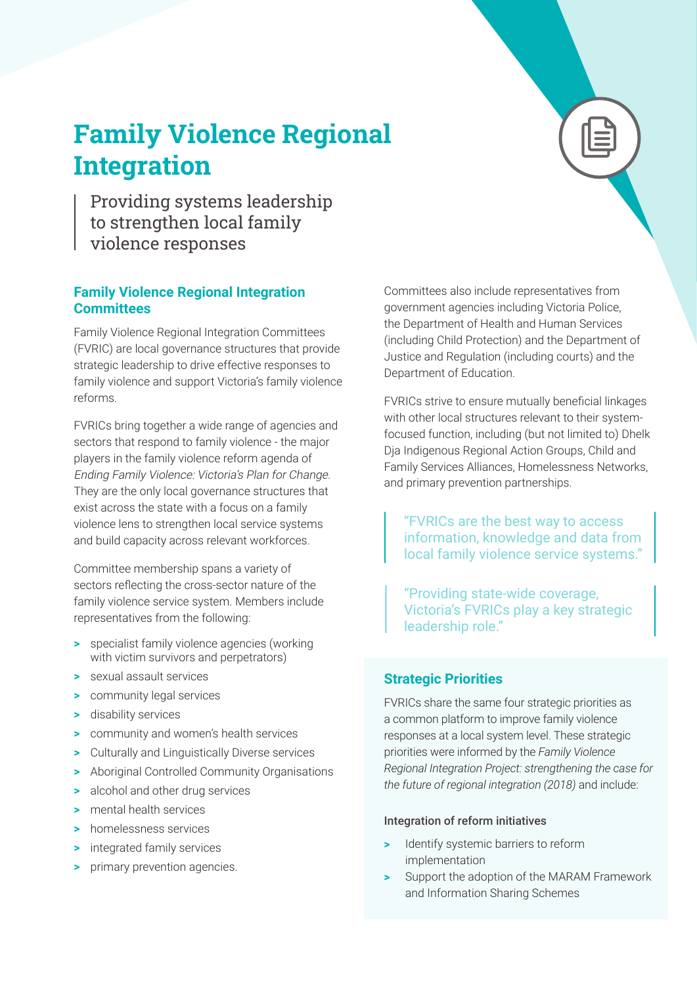# **Family Violence Regional Integration**

Providing systems leadership to strengthen local family violence responses

# **Family Violence Regional Integration Committees**

Family Violence Regional Integration Committees (FVRIC) are local governance structures that provide strategic leadership to drive effective responses to family violence and support Victoria's family violence reforms.

FVRICs bring together a wide range of agencies and sectors that respond to family violence - the major players in the family violence reform agenda of Ending Family Violence: Victoria's Plan for Change. They are the only local governance structures that exist across the state with a focus on a family violence lens to strengthen local service systems and build capacity across relevant workforces.

Committee membership spans a variety of sectors reflecting the cross-sector nature of the family violence service system. Members include representatives from the following:

- **>** specialist family violence agencies (working with victim survivors and perpetrators)
- **>** sexual assault services
- **>** community legal services
- **>** disability services
- **>** community and women's health services
- **>** Culturally and Linguistically Diverse services
- **>** Aboriginal Controlled Community Organisations
- **>** alcohol and other drug services
- **>** mental health services
- **>** homelessness services
- **>** integrated family services
- **>** primary prevention agencies.

Committees also include representatives from government agencies including Victoria Police, the Department of Health and Human Services (including Child Protection) and the Department of Justice and Regulation (including courts) and the Department of Education.

FVRICs strive to ensure mutually beneficial linkages with other local structures relevant to their systemfocused function, including (but not limited to) Dhelk Dja Indigenous Regional Action Groups, Child and Family Services Alliances, Homelessness Networks, and primary prevention partnerships.

"FVRICs are the best way to access information, knowledge and data from local family violence service systems."

"Providing state-wide coverage, Victoria's FVRICs play a key strategic leadership role."

# **Strategic Priorities**

FVRICs share the same four strategic priorities as a common platform to improve family violence responses at a local system level. These strategic priorities were informed by the *Family Violence Regional Integration Project: strengthening the case for the future of regional integration (2018)* and include:

### Integration of reform initiatives

- **>** Identify systemic barriers to reform implementation
- **>** Support the adoption of the MARAM Framework and Information Sharing Schemes